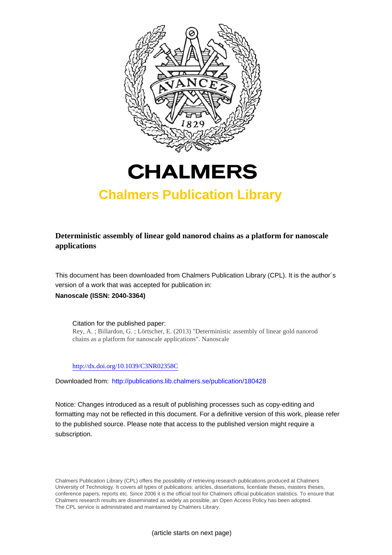



## **Chalmers Publication Library**

**Deterministic assembly of linear gold nanorod chains as a platform for nanoscale applications**

This document has been downloaded from Chalmers Publication Library (CPL). It is the author´s version of a work that was accepted for publication in: **Nanoscale (ISSN: 2040-3364)**

Citation for the published paper: Rey, A. ; Billardon, G. ; Lörtscher, E. (2013) "Deterministic assembly of linear gold nanorod chains as a platform for nanoscale applications". Nanoscale

<http://dx.doi.org/10.1039/C3NR02358C>

Downloaded from: <http://publications.lib.chalmers.se/publication/180428>

Notice: Changes introduced as a result of publishing processes such as copy-editing and formatting may not be reflected in this document. For a definitive version of this work, please refer to the published source. Please note that access to the published version might require a subscription.

Chalmers Publication Library (CPL) offers the possibility of retrieving research publications produced at Chalmers University of Technology. It covers all types of publications: articles, dissertations, licentiate theses, masters theses, conference papers, reports etc. Since 2006 it is the official tool for Chalmers official publication statistics. To ensure that Chalmers research results are disseminated as widely as possible, an Open Access Policy has been adopted. The CPL service is administrated and maintained by Chalmers Library.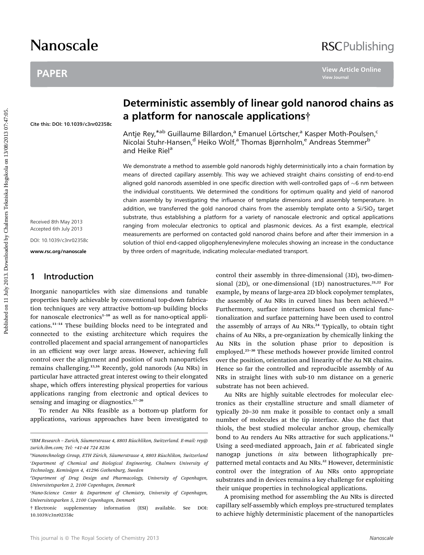# Nanoscale

## PAPER

## **RSCPublishing**

Cite this: DOI: 10.1039/c3nr02358c

Received 8th May 2013 Accepted 6th July 2013 DOI: 10.1039/c3nr02358c

www.rsc.org/nanoscale

## 1 Introduction

Inorganic nanoparticles with size dimensions and tunable properties barely achievable by conventional top-down fabrication techniques are very attractive bottom-up building blocks for nanoscale electronics<sup> $1-10$ </sup> as well as for nano-optical applications.<sup>11</sup>–<sup>14</sup> These building blocks need to be integrated and connected to the existing architecture which requires the controlled placement and spacial arrangement of nanoparticles in an efficient way over large areas. However, achieving full control over the alignment and position of such nanoparticles remains challenging.15,16 Recently, gold nanorods (Au NRs) in particular have attracted great interest owing to their elongated shape, which offers interesting physical properties for various applications ranging from electronic and optical devices to sensing and imaging or diagnostics.<sup>17-20</sup>

To render Au NRs feasible as a bottom-up platform for applications, various approaches have been investigated to

## Deterministic assembly of linear gold nanorod chains as a platform for nanoscale applications†

Antje Rey,<sup>\*ab</sup> Guillaume Billardon,<sup>a</sup> Emanuel Lörtscher,<sup>a</sup> Kasper Moth-Poulsen,<sup>c</sup> Nicolai Stuhr-Hansen,<sup>d</sup> Heiko Wolf,<sup>a</sup> Thomas Bjørnholm,<sup>e</sup> Andreas Stemmer<sup>b</sup> and Heike Riel<sup>a</sup>

We demonstrate a method to assemble gold nanorods highly deterministically into a chain formation by means of directed capillary assembly. This way we achieved straight chains consisting of end-to-end aligned gold nanorods assembled in one specific direction with well-controlled gaps of  $\sim$ 6 nm between the individual constituents. We determined the conditions for optimum quality and yield of nanorod chain assembly by investigating the influence of template dimensions and assembly temperature. In addition, we transferred the gold nanorod chains from the assembly template onto a Si/SiO<sub>2</sub> target substrate, thus establishing a platform for a variety of nanoscale electronic and optical applications ranging from molecular electronics to optical and plasmonic devices. As a first example, electrical measurements are performed on contacted gold nanorod chains before and after their immersion in a solution of thiol end-capped oligophenylenevinylene molecules showing an increase in the conductance by three orders of magnitude, indicating molecular-mediated transport. PAPER<br> **Deterministic assembly of linear gold nanorod chains**<br> **a platform for nanoscale applications?**<br>
Antibe Rey<sup>san</sup> Guillaume Billardon,<sup>8</sup> Francuel Lörschey? Kasper Moth-Poulsen,<br>
Antibe Rey<sup>san</sup> Guillaume Billardon,

control their assembly in three-dimensional (3D), two-dimensional (2D), or one-dimensional (1D) nanostructures.<sup>21,22</sup> For example, by means of large-area 2D block copolymer templates, the assembly of Au NRs in curved lines has been achieved.<sup>23</sup> Furthermore, surface interactions based on chemical functionalization and surface patterning have been used to control the assembly of arrays of Au NRs.<sup>24</sup> Typically, to obtain tight chains of Au NRs, a pre-organization by chemically linking the Au NRs in the solution phase prior to deposition is employed.<sup>25</sup>–<sup>30</sup> These methods however provide limited control over the position, orientation and linearity of the Au NR chains. Hence so far the controlled and reproducible assembly of Au NRs in straight lines with sub-10 nm distance on a generic substrate has not been achieved.

Au NRs are highly suitable electrodes for molecular electronics as their crystalline structure and small diameter of typically 20–30 nm make it possible to contact only a small number of molecules at the tip interface. Also the fact that thiols, the best studied molecular anchor group, chemically bond to Au renders Au NRs attractive for such applications.<sup>31</sup> Using a seed-mediated approach, Jain et al. fabricated single nanogap junctions in situ between lithographically prepatterned metal contacts and Au NRs.<sup>32</sup> However, deterministic control over the integration of Au NRs onto appropriate substrates and in devices remains a key challenge for exploiting their unique properties in technological applications.

A promising method for assembling the Au NRs is directed capillary self-assembly which employs pre-structured templates to achieve highly deterministic placement of the nanoparticles

ªIBM Research – Zurich, Säumerstrasse 4, 8803 Rüschlikon, Switzerland. E-mail: rey@ zurich.ibm.com; Tel: +41-44 724 8236

bNanotechnology Group, ETH Zürich, Säumerstrasse 4, 8803 Rüschlikon, Switzerland c Department of Chemical and Biological Engineering, Chalmers University of Technology, Kemivägen 4, 41296 Gothenburg, Sweden

d Department of Drug Design and Pharmacology, University of Copenhagen, Universitetsparken 2, 2100 Copenhagen, Denmark

e Nano-Science Center & Department of Chemistry, University of Copenhagen, Universitetsparken 5, 2100 Copenhagen, Denmark

<sup>†</sup> Electronic supplementary information (ESI) available. See DOI: 10.1039/c3nr02358c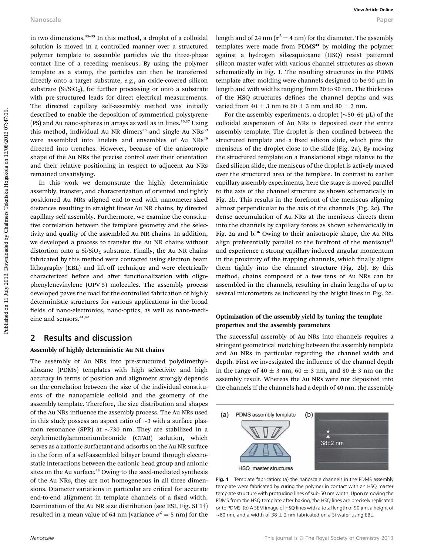in two dimensions.<sup>33</sup>–<sup>35</sup> In this method, a droplet of a colloidal solution is moved in a controlled manner over a structured polymer template to assemble particles via the three-phase contact line of a receding meniscus. By using the polymer template as a stamp, the particles can then be transferred directly onto a target substrate, e.g., an oxide-covered silicon substrate  $(Si/SiO<sub>2</sub>)$ , for further processing or onto a substrate with pre-structured leads for direct electrical measurements. The directed capillary self-assembly method was initially described to enable the deposition of symmetrical polystyrene (PS) and Au nano-spheres in arrays as well as in lines.<sup>36,37</sup> Using this method, individual Au NR dimers<sup>38</sup> and single Au NRs<sup>39</sup> were assembled into linelets and ensembles of Au NRs<sup>40</sup> directed into trenches. However, because of the anisotropic shape of the Au NRs the precise control over their orientation and their relative positioning in respect to adjacent Au NRs remained unsatisfying.

In this work we demonstrate the highly deterministic assembly, transfer, and characterization of oriented and tightly positioned Au NRs aligned end-to-end with nanometer-sized distances resulting in straight linear Au NR chains, by directed capillary self-assembly. Furthermore, we examine the constitutive correlation between the template geometry and the selectivity and quality of the assembled Au NR chains. In addition, we developed a process to transfer the Au NR chains without distortion onto a  $Si/SiO<sub>2</sub>$  substrate. Finally, the Au NR chains fabricated by this method were contacted using electron beam lithography (EBL) and lift-off technique and were electrically characterized before and after functionalization with oligophenylenevinylene (OPV-5) molecules. The assembly process developed paves the road for the controlled fabrication of highly deterministic structures for various applications in the broad fields of nano-electronics, nano-optics, as well as nano-medicine and sensors.<sup>41,42</sup>

## 2 Results and discussion

#### Assembly of highly deterministic Au NR chains

The assembly of Au NRs into pre-structured polydimethylsiloxane (PDMS) templates with high selectivity and high accuracy in terms of position and alignment strongly depends on the correlation between the size of the individual constituents of the nanoparticle colloid and the geometry of the assembly template. Therefore, the size distribution and shapes of the Au NRs influence the assembly process. The Au NRs used in this study possess an aspect ratio of  $\sim$ 3 with a surface plasmon resonance (SPR) at  $\sim$ 730 nm. They are stabilized in a cetyltrimethylammoniumbromide (CTAB) solution, which serves as a cationic surfactant and adsorbs on the Au NR surface in the form of a self-assembled bilayer bound through electrostatic interactions between the cationic head group and anionic sites on the Au surface.<sup>43</sup> Owing to the seed-mediated synthesis of the Au NRs, they are not homogeneous in all three dimensions. Diameter variations in particular are critical for accurate end-to-end alignment in template channels of a fixed width. Examination of the Au NR size distribution (see ESI, Fig. SI 1†) resulted in a mean value of 64 nm (variance  $\sigma^2 = 5$  nm) for the

length and of 24 nm ( $\sigma^2$  = 4 nm) for the diameter. The assembly templates were made from PDMS<sup>44</sup> by molding the polymer against a hydrogen silsesquioxane (HSQ) resist patterned silicon master wafer with various channel structures as shown schematically in Fig. 1. The resulting structures in the PDMS template after molding were channels designed to be 90 µm in length and with widths ranging from 20 to 90 nm. The thickness of the HSQ structures defines the channel depths and was varied from  $40 \pm 3$  nm to  $60 \pm 3$  nm and  $80 \pm 3$  nm.

For the assembly experiments, a droplet  $(\sim 50-60 \mu L)$  of the colloidal suspension of Au NRs is deposited over the entire assembly template. The droplet is then confined between the structured template and a fixed silicon slide, which pins the meniscus of the droplet close to the slide (Fig. 2a). By moving the structured template on a translational stage relative to the fixed silicon slide, the meniscus of the droplet is actively moved over the structured area of the template. In contrast to earlier capillary assembly experiments, here the stage is moved parallel to the axis of the channel structure as shown schematically in Fig. 2b. This results in the forefront of the meniscus aligning almost perpendicular to the axis of the channels (Fig. 2c). The dense accumulation of Au NRs at the meniscus directs them into the channels by capillary forces as shown schematically in Fig. 2a and b.<sup>36</sup> Owing to their anisotropic shape, the Au NRs align preferentially parallel to the forefront of the meniscus<sup>38</sup> and experience a strong capillary-induced angular momentum in the proximity of the trapping channels, which finally aligns them tightly into the channel structure (Fig. 2b). By this method, chains composed of a few tens of Au NRs can be assembled in the channels, resulting in chain lengths of up to several micrometers as indicated by the bright lines in Fig. 2c. Nanoscale<br>
in two dimensions<sup>, th</sup> in min method, a droplet of a colloidal elegation of 2.1 am ( $\omega^2$  = 4 am) for the dimension of the properties of the second by Chalmers Techniska Section and the second the method of t

### Optimization of the assembly yield by tuning the template properties and the assembly parameters

The successful assembly of Au NRs into channels requires a stringent geometrical matching between the assembly template and Au NRs in particular regarding the channel width and depth. First we investigated the influence of the channel depth in the range of 40  $\pm$  3 nm, 60  $\pm$  3 nm, and 80  $\pm$  3 nm on the assembly result. Whereas the Au NRs were not deposited into the channels if the channels had a depth of 40 nm, the assembly



Fig. 1 Template fabrication: (a) the nanoscale channels in the PDMS assembly template were fabricated by curing the polymer in contact with an HSQ master template structure with protruding lines of sub-50 nm width. Upon removing the PDMS from the HSQ template after baking, the HSQ lines are precisely replicated onto PDMS. (b) A SEM image of HSQ lines with a total length of 90 µm, a height of  $\sim$  60 nm, and a width of 38  $\pm$  2 nm fabricated on a Si wafer using EBL.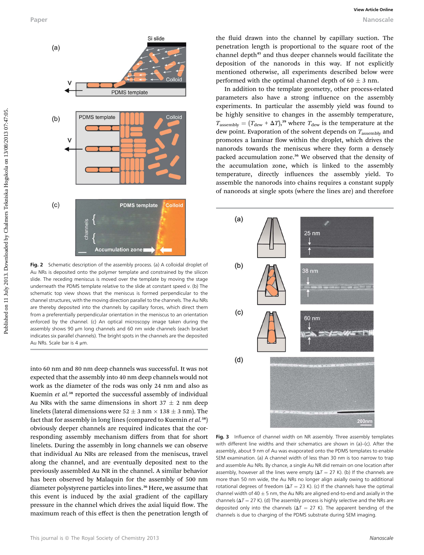

Fig. 2 Schematic description of the assembly process. (a) A colloidal droplet of Au NRs is deposited onto the polymer template and constrained by the silicon slide. The receding meniscus is moved over the template by moving the stage underneath the PDMS template relative to the slide at constant speed v. (b) The schematic top view shows that the meniscus is formed perpendicular to the channel structures, with the moving direction parallel to the channels. The Au NRs are thereby deposited into the channels by capillary forces, which direct them from a preferentially perpendicular orientation in the meniscus to an orientation enforced by the channel. (c) An optical microscopy image taken during the assembly shows 90 µm long channels and 60 nm wide channels (each bracket indicates six parallel channels). The bright spots in the channels are the deposited Au NRs. Scale bar is 4 um.

into 60 nm and 80 nm deep channels was successful. It was not expected that the assembly into 40 nm deep channels would not work as the diameter of the rods was only 24 nm and also as Kuemin et al.<sup>38</sup> reported the successful assembly of individual Au NRs with the same dimensions in short  $37 \pm 2$  nm deep linelets (lateral dimensions were  $52 \pm 3$  nm  $\times$  138  $\pm$  3 nm). The fact that for assembly in long lines (compared to Kuemin et  $al.^{38}$ ) obviously deeper channels are required indicates that the corresponding assembly mechanism differs from that for short linelets. During the assembly in long channels we can observe that individual Au NRs are released from the meniscus, travel along the channel, and are eventually deposited next to the previously assembled Au NR in the channel. A similar behavior has been observed by Malaquin for the assembly of 500 nm diameter polystyrene particles into lines.<sup>36</sup> Here, we assume that this event is induced by the axial gradient of the capillary pressure in the channel which drives the axial liquid flow. The maximum reach of this effect is then the penetration length of the fluid drawn into the channel by capillary suction. The penetration length is proportional to the square root of the channel depth<sup>45</sup> and thus deeper channels would facilitate the deposition of the nanorods in this way. If not explicitly mentioned otherwise, all experiments described below were performed with the optimal channel depth of 60  $\pm$  3 nm.

In addition to the template geometry, other process-related parameters also have a strong influence on the assembly experiments. In particular the assembly yield was found to be highly sensitive to changes in the assembly temperature,  $T_{\text{assembly}} = (T_{\text{dew}} + \Delta T)$ ,<sup>39</sup> where  $T_{\text{dew}}$  is the temperature at the dew point. Evaporation of the solvent depends on  $T_{\text{assembly}}$  and promotes a laminar flow within the droplet, which drives the nanorods towards the meniscus where they form a densely packed accumulation zone.<sup>36</sup> We observed that the density of the accumulation zone, which is linked to the assembly temperature, directly influences the assembly yield. To assemble the nanorods into chains requires a constant supply of nanorods at single spots (where the lines are) and therefore



Fig. 3 Influence of channel width on NR assembly. Three assembly templates with different line widths and their schematics are shown in (a)–(c). After the assembly, about 9 nm of Au was evaporated onto the PDMS templates to enable SEM examination. (a) A channel width of less than 30 nm is too narrow to trap and assemble Au NRs. By chance, a single Au NR did remain on one location after assembly, however all the lines were empty ( $\Delta T = 27$  K). (b) If the channels are more than 50 nm wide, the Au NRs no longer align axially owing to additional rotational degrees of freedom ( $\Delta T = 23$  K). (c) If the channels have the optimal channel width of 40  $\pm$  5 nm, the Au NRs are aligned end-to-end and axially in the channels ( $\Delta T = 27$  K). (d) The assembly process is highly selective and the NRs are deposited only into the channels ( $\Delta T = 27$  K). The apparent bending of the channels is due to charging of the PDMS substrate during SEM imaging.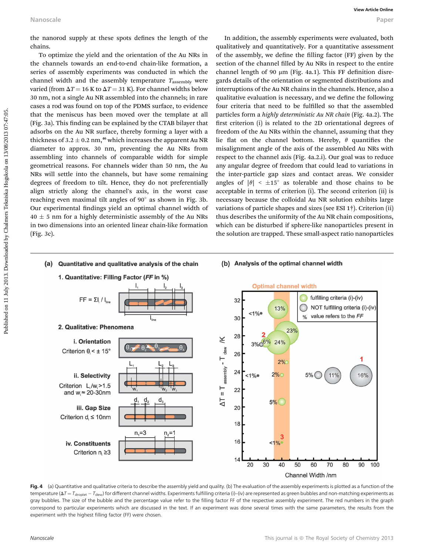the nanorod supply at these spots defines the length of the chains.

To optimize the yield and the orientation of the Au NRs in the channels towards an end-to-end chain-like formation, a series of assembly experiments was conducted in which the channel width and the assembly temperature  $T_{\text{assembly}}$  were varied (from  $\Delta T$  = 16 K to  $\Delta T$  = 31 K). For channel widths below 30 nm, not a single Au NR assembled into the channels; in rare cases a rod was found on top of the PDMS surface, to evidence that the meniscus has been moved over the template at all (Fig. 3a). This finding can be explained by the CTAB bilayer that adsorbs on the Au NR surface, thereby forming a layer with a thickness of  $3.2 \pm 0.2$  nm,<sup>46</sup> which increases the apparent Au NR diameter to approx. 30 nm, preventing the Au NRs from assembling into channels of comparable width for simple geometrical reasons. For channels wider than 50 nm, the Au NRs will settle into the channels, but have some remaining degrees of freedom to tilt. Hence, they do not preferentially align strictly along the channel's axis, in the worst case reaching even maximal tilt angles of  $90^\circ$  as shown in Fig. 3b. Our experimental findings yield an optimal channel width of  $40 \pm 5$  nm for a highly deterministic assembly of the Au NRs in two dimensions into an oriented linear chain-like formation (Fig. 3c).

In addition, the assembly experiments were evaluated, both qualitatively and quantitatively. For a quantitative assessment of the assembly, we define the filling factor (FF) given by the section of the channel filled by Au NRs in respect to the entire channel length of 90  $\mu$ m (Fig. 4a.1). This FF definition disregards details of the orientation or segmented distributions and interruptions of the Au NR chains in the channels. Hence, also a qualitative evaluation is necessary, and we define the following four criteria that need to be fulfilled so that the assembled particles form a highly deterministic Au NR chain (Fig. 4a.2). The first criterion (i) is related to the 2D orientational degrees of freedom of the Au NRs within the channel, assuming that they lie flat on the channel bottom. Hereby,  $\theta$  quantifies the misalignment angle of the axis of the assembled Au NRs with respect to the channel axis (Fig. 4a.2.i). Our goal was to reduce any angular degree of freedom that could lead to variations in the inter-particle gap sizes and contact areas. We consider angles of  $|\theta| < \pm 15^{\circ}$  as tolerable and those chains to be acceptable in terms of criterion (i). The second criterion (ii) is necessary because the colloidal Au NR solution exhibits large variations of particle shapes and sizes (see ESI 1†). Criterion (ii) thus describes the uniformity of the Au NR chain compositions, which can be disturbed if sphere-like nanoparticles present in the solution are trapped. These small-aspect ratio nanoparticles Nanoscale<br>
the nanorod supply at these spots defines the length of the **andidises**. However, the space of the distance of the anti-<br>
the channels would and the distance of the ALMES in diffusive state and that is a propor



Fig. 4 (a) Quantitative and qualitative criteria to describe the assembly yield and quality. (b) The evaluation of the assembly experiments is plotted as a function of the temperature ( $\Delta T = T_{\rm droplet} - T_{\rm dew}$ ) for different channel widths. Experiments fulfilling criteria (i)–(iv) are represented as green bubbles and non-matching experiments as gray bubbles. The size of the bubble and the percentage value refer to the filling factor FF of the respective assembly experiment. The red numbers in the graph correspond to particular experiments which are discussed in the text. If an experiment was done several times with the same parameters, the results from the experiment with the highest filling factor (FF) were chosen.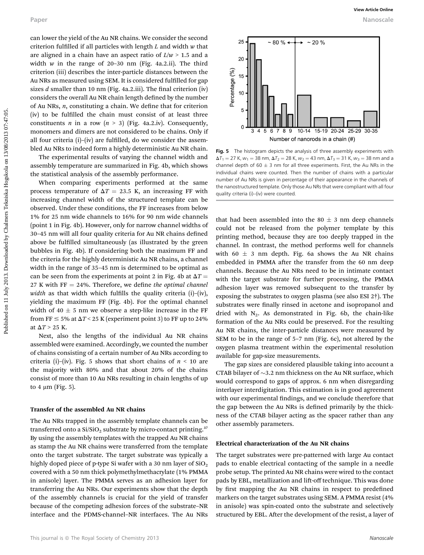can lower the yield of the Au NR chains. We consider the second criterion fulfilled if all particles with length  $L$  and width  $w$  that are aligned in a chain have an aspect ratio of  $L/w > 1.5$  and a width  $w$  in the range of 20-30 nm (Fig. 4a.2.ii). The third criterion (iii) describes the inter-particle distances between the Au NRs as measured using SEM. It is considered fulfilled for gap sizes  $d$  smaller than 10 nm (Fig. 4a.2.iii). The final criterion (iv) considers the overall Au NR chain length defined by the number of Au NRs,  $n$ , constituting a chain. We define that for criterion (iv) to be fullled the chain must consist of at least three constituents *n* in a row ( $n > 3$ ) (Fig. 4a.2.iv). Consequently, monomers and dimers are not considered to be chains. Only if all four criteria  $(i)$ – $(iv)$  are fulfilled, do we consider the assembled Au NRs to indeed form a highly deterministic Au NR chain.

The experimental results of varying the channel width and assembly temperature are summarized in Fig. 4b, which shows the statistical analysis of the assembly performance.

When comparing experiments performed at the same process temperature of  $\Delta T = 23.5$  K, an increasing FF with increasing channel width of the structured template can be observed. Under these conditions, the FF increases from below 1% for 25 nm wide channels to 16% for 90 nm wide channels (point 1 in Fig. 4b). However, only for narrow channel widths of 30-45 nm will all four quality criteria for Au NR chains defined above be fulfilled simultaneously (as illustrated by the green bubbles in Fig. 4b). If considering both the maximum FF and the criteria for the highly deterministic Au NR chains, a channel width in the range of 35–45 nm is determined to be optimal as can be seen from the experiments at point 2 in Fig. 4b at  $\Delta T =$ 27 K with  $FF = 24\%$ . Therefore, we define the optimal channel width as that width which fulfills the quality criteria (i)–(iv), yielding the maximum FF (Fig. 4b). For the optimal channel width of 40  $\pm$  5 nm we observe a step-like increase in the FF from FF  $\leq$  5% at  $\Delta T$  < 25 K (experiment point 3) to FF up to 24% at  $\Delta T > 25$  K. Puper<br> **Published on 22** M and consider the second by Chalmers Society and the second of the published on 11 July 2013. Downloaded by Chalmers Society and the published by Chalmers Society and the second of the second by

Next, also the lengths of the individual Au NR chains assembled were examined. Accordingly, we counted the number of chains consisting of a certain number of Au NRs according to criteria (i)–(iv). Fig. 5 shows that short chains of  $n < 10$  are the majority with 80% and that about 20% of the chains consist of more than 10 Au NRs resulting in chain lengths of up to 4  $\mu$ m (Fig. 5).

#### Transfer of the assembled Au NR chains

The Au NRs trapped in the assembly template channels can be transferred onto a  $\text{Si/SiO}_2$  substrate by micro-contact printing.<sup>37</sup> By using the assembly templates with the trapped Au NR chains as stamp the Au NR chains were transferred from the template onto the target substrate. The target substrate was typically a highly doped piece of p-type Si wafer with a 30 nm layer of  $SiO<sub>2</sub>$ covered with a 50 nm thick polymethylmethacrylate (1% PMMA in anisole) layer. The PMMA serves as an adhesion layer for transferring the Au NRs. Our experiments show that the depth of the assembly channels is crucial for the yield of transfer because of the competing adhesion forces of the substrate–NR interface and the PDMS-channel–NR interfaces. The Au NRs



Fig. 5 The histogram depicts the analysis of three assembly experiments with  $\Delta T_1 = 27$  K,  $w_1 = 38$  nm,  $\Delta T_2 = 28$  K,  $w_2 = 43$  nm,  $\Delta T_3 = 31$  K,  $w_3 = 38$  nm and a channel depth of 60  $\pm$  3 nm for all three experiments. First, the Au NRs in the individual chains were counted. Then the number of chains with a particular number of Au NRs is given in percentage of their appearance in the channels of the nanostructured template. Only those Au NRs that were compliant with all four quality criteria (i)–(iv) were counted.

that had been assembled into the 80  $\pm$  3 nm deep channels could not be released from the polymer template by this printing method, because they are too deeply trapped in the channel. In contrast, the method performs well for channels with 60  $\pm$  3 nm depth. Fig. 6a shows the Au NR chains embedded in PMMA after the transfer from the 60 nm deep channels. Because the Au NRs need to be in intimate contact with the target substrate for further processing, the PMMA adhesion layer was removed subsequent to the transfer by exposing the substrates to oxygen plasma (see also ESI 2†). The substrates were finally rinsed in acetone and isopropanol and dried with  $N_2$ . As demonstrated in Fig. 6b, the chain-like formation of the Au NRs could be preserved. For the resulting Au NR chains, the inter-particle distances were measured by SEM to be in the range of 5–7 nm (Fig. 6c), not altered by the oxygen plasma treatment within the experimental resolution available for gap-size measurements.

The gap sizes are considered plausible taking into account a CTAB bilayer of  $\sim$ 3.2 nm thickness on the Au NR surface, which would correspond to gaps of approx. 6 nm when disregarding interlayer interdigitation. This estimation is in good agreement with our experimental findings, and we conclude therefore that the gap between the Au NRs is defined primarily by the thickness of the CTAB bilayer acting as the spacer rather than any other assembly parameters.

#### Electrical characterization of the Au NR chains

The target substrates were pre-patterned with large Au contact pads to enable electrical contacting of the sample in a needle probe setup. The printed Au NR chains were wired to the contact pads by EBL, metallization and lift-off technique. This was done by first mapping the Au NR chains in respect to predefined markers on the target substrates using SEM. A PMMA resist (4% in anisole) was spin-coated onto the substrate and selectively structured by EBL. After the development of the resist, a layer of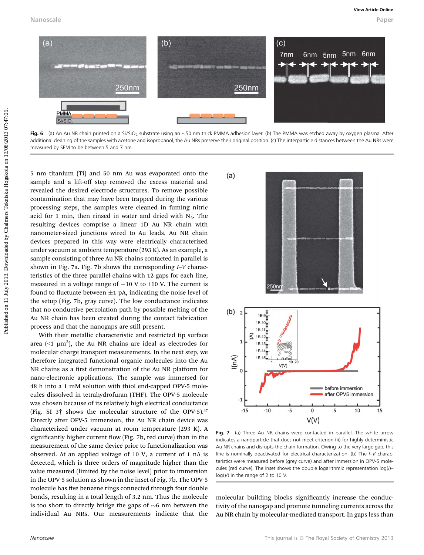Nanoscale Paper



Fig. 6 (a) An Au NR chain printed on a Si/SiO<sub>2</sub> substrate using an ~50 nm thick PMMA adhesion layer. (b) The PMMA was etched away by oxygen plasma. After additional cleaning of the samples with acetone and isopropanol, the Au NRs preserve their original position. (c) The interparticle distances between the Au NRs were measured by SEM to be between 5 and 7 nm.

5 nm titanium (Ti) and 50 nm Au was evaporated onto the sample and a lift-off step removed the excess material and revealed the desired electrode structures. To remove possible contamination that may have been trapped during the various processing steps, the samples were cleaned in fuming nitric acid for 1 min, then rinsed in water and dried with  $N_2$ . The resulting devices comprise a linear 1D Au NR chain with nanometer-sized junctions wired to Au leads. Au NR chain devices prepared in this way were electrically characterized under vacuum at ambient temperature (293 K). As an example, a sample consisting of three Au NR chains contacted in parallel is shown in Fig. 7a. Fig. 7b shows the corresponding I–V characteristics of the three parallel chains with 12 gaps for each line, measured in a voltage range of  $-10$  V to  $+10$  V. The current is found to fluctuate between  $\pm 1$  pA, indicating the noise level of the setup (Fig. 7b, gray curve). The low conductance indicates that no conductive percolation path by possible melting of the Au NR chain has been created during the contact fabrication process and that the nanogaps are still present.

With their metallic characteristic and restricted tip surface area (<1  $\mu$ m<sup>2</sup>), the Au NR chains are ideal as electrodes for molecular charge transport measurements. In the next step, we therefore integrated functional organic molecules into the Au NR chains as a first demonstration of the Au NR platform for nano-electronic applications. The sample was immersed for 48 h into a 1 mM solution with thiol end-capped OPV-5 molecules dissolved in tetrahydrofuran (THF). The OPV-5 molecule was chosen because of its relatively high electrical conductance (Fig. SI 3<sup>†</sup> shows the molecular structure of the OPV-5).<sup>47</sup> Directly after OPV-5 immersion, the Au NR chain device was characterized under vacuum at room temperature (293 K). A significantly higher current flow (Fig. 7b, red curve) than in the measurement of the same device prior to functionalization was observed. At an applied voltage of 10 V, a current of 1 nA is detected, which is three orders of magnitude higher than the value measured (limited by the noise level) prior to immersion in the OPV-5 solution as shown in the inset of Fig. 7b. The OPV-5 molecule has five benzene rings connected through four double bonds, resulting in a total length of 3.2 nm. Thus the molecule is too short to directly bridge the gaps of  $\sim$ 6 nm between the individual Au NRs. Our measurements indicate that the



Fig. 7 (a) Three Au NR chains were contacted in parallel. The white arrow indicates a nanoparticle that does not meet criterion (ii) for highly deterministic Au NR chains and disrupts the chain formation. Owing to the very large gap, this line is nominally deactivated for electrical characterization. (b) The I–V characteristics were measured before (grey curve) and after immersion in OPV-5 molecules (red curve). The inset shows the double logarithmic representation log(/)log(V) in the range of 2 to 10 V.

molecular building blocks significantly increase the conductivity of the nanogap and promote tunneling currents across the Au NR chain by molecular-mediated transport. In gaps less than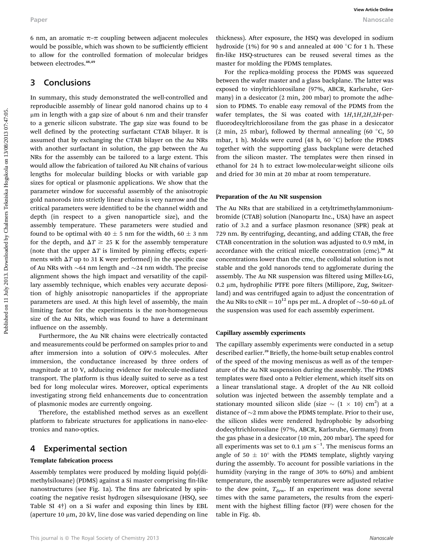6 nm, an aromatic  $\pi$ – $\pi$  coupling between adjacent molecules would be possible, which was shown to be sufficiently efficient to allow for the controlled formation of molecular bridges between electrodes.<sup>48,49</sup>

## 3 Conclusions

In summary, this study demonstrated the well-controlled and reproducible assembly of linear gold nanorod chains up to 4 mm in length with a gap size of about 6 nm and their transfer to a generic silicon substrate. The gap size was found to be well defined by the protecting surfactant CTAB bilayer. It is assumed that by exchanging the CTAB bilayer on the Au NRs with another surfactant in solution, the gap between the Au NRs for the assembly can be tailored to a large extent. This would allow the fabrication of tailored Au NR chains of various lengths for molecular building blocks or with variable gap sizes for optical or plasmonic applications. We show that the parameter window for successful assembly of the anisotropic gold nanorods into strictly linear chains is very narrow and the critical parameters were identified to be the channel width and depth (in respect to a given nanoparticle size), and the assembly temperature. These parameters were studied and found to be optimal with 40  $\pm$  5 nm for the width, 60  $\pm$  3 nm for the depth, and  $\Delta T \ge 25$  K for the assembly temperature (note that the upper  $\Delta T$  is limited by pinning effects; experiments with  $\Delta T$  up to 31 K were performed) in the specific case of Au NRs with  $\sim$  64 nm length and  $\sim$  24 nm width. The precise alignment shows the high impact and versatility of the capillary assembly technique, which enables very accurate deposition of highly anisotropic nanoparticles if the appropriate parameters are used. At this high level of assembly, the main limiting factor for the experiments is the non-homogeneous size of the Au NRs, which was found to have a determinant influence on the assembly. Puper<br> **Example on 11** Automatic numerical control of the different indicense this charge is a control of the spin by Chalmers Telescond Control in the Chalmers Telescond Control in the Chalmers Telescond Control in the C

Furthermore, the Au NR chains were electrically contacted and measurements could be performed on samples prior to and after immersion into a solution of OPV-5 molecules. After immersion, the conductance increased by three orders of magnitude at 10 V, adducing evidence for molecule-mediated transport. The platform is thus ideally suited to serve as a test bed for long molecular wires. Moreover, optical experiments investigating strong field enhancements due to concentration of plasmonic modes are currently ongoing.

Therefore, the established method serves as an excellent platform to fabricate structures for applications in nano-electronics and nano-optics.

## 4 Experimental section

#### Template fabrication process

Assembly templates were produced by molding liquid poly(dimethylsiloxane) (PDMS) against a Si master comprising fin-like nanostructures (see Fig. 1a). The fins are fabricated by spincoating the negative resist hydrogen silsesquioxane (HSQ, see Table SI 4†) on a Si wafer and exposing thin lines by EBL (aperture 10  $\mu$ m, 20 kV, line dose was varied depending on line

thickness). After exposure, the HSQ was developed in sodium hydroxide (1%) for 90 s and annealed at 400  $^{\circ}$ C for 1 h. These n-like HSQ-structures can be reused several times as the master for molding the PDMS templates.

For the replica-molding process the PDMS was squeezed between the wafer master and a glass backplane. The latter was exposed to vinyltrichlorosilane (97%, ABCR, Karlsruhe, Germany) in a desiccator (2 min, 200 mbar) to promote the adhesion to PDMS. To enable easy removal of the PDMS from the wafer templates, the Si was coated with  $1H$ ,  $1H$ ,  $2H$ ,  $2H$ -peruorodecyltrichlorosilane from the gas phase in a desiccator (2 min, 25 mbar), followed by thermal annealing (60  $\degree$ C, 50 mbar, 1 h). Molds were cured (48 h, 60 $\degree$ C) before the PDMS together with the supporting glass backplane were detached from the silicon master. The templates were then rinsed in ethanol for 24 h to extract low-molecular-weight silicone oils and dried for 30 min at 20 mbar at room temperature.

#### Preparation of the Au NR suspension

The Au NRs that are stabilized in a cetyltrimethylammoniumbromide (CTAB) solution (Nanopartz Inc., USA) have an aspect ratio of 3.2 and a surface plasmon resonance (SPR) peak at 729 nm. By centrifuging, decanting, and adding CTAB, the free CTAB concentration in the solution was adjusted to 0.9 mM, in accordance with the critical micelle concentration (cmc).<sup>50</sup> At concentrations lower than the cmc, the colloidal solution is not stable and the gold nanorods tend to agglomerate during the assembly. The Au NR suspension was filtered using Millex-LG,  $0.2 \mu m$ , hydrophilic PTFE pore filters (Millipore, Zug, Switzerland) and was centrifuged again to adjust the concentration of the Au NRs to  $cNR = 10^{12}$  nps per mL. A droplet of  $\sim$ 50–60 µL of the suspension was used for each assembly experiment.

#### Capillary assembly experiments

The capillary assembly experiments were conducted in a setup described earlier.<sup>39</sup> Briefly, the home-built setup enables control of the speed of the moving meniscus as well as of the temperature of the Au NR suspension during the assembly. The PDMS templates were fixed onto a Peltier element, which itself sits on a linear translational stage. A droplet of the Au NR colloid solution was injected between the assembly template and a stationary mounted silicon slide (size  $\sim$   $(1 \times 10)$  cm<sup>2</sup>) at a distance of  $\sim$ 2 mm above the PDMS template. Prior to their use, the silicon slides were rendered hydrophobic by adsorbing dodecyltrichlorosilane (97%, ABCR, Karlsruhe, Germany) from the gas phase in a desiccator (10 min, 200 mbar). The speed for all experiments was set to 0.1  $\mu$ m s<sup>-1</sup>. The meniscus forms an angle of 50  $\pm$  10° with the PDMS template, slightly varying during the assembly. To account for possible variations in the humidity (varying in the range of 30% to 60%) and ambient temperature, the assembly temperatures were adjusted relative to the dew point,  $T_{\text{dew}}$ . If an experiment was done several times with the same parameters, the results from the experiment with the highest filling factor (FF) were chosen for the table in Fig. 4b.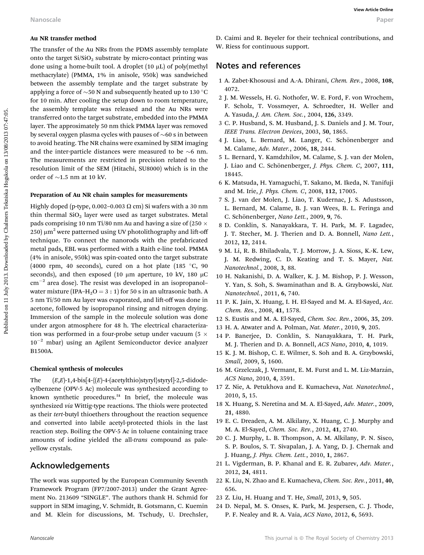### Au NR transfer method

The transfer of the Au NRs from the PDMS assembly template onto the target  $Si/SiO<sub>2</sub>$  substrate by micro-contact printing was done using a home-built tool. A droplet (10 µL) of poly(methyl methacrylate) (PMMA, 1% in anisole, 950k) was sandwiched between the assembly template and the target substrate by applying a force of  $\sim$  50 N and subsequently heated up to 130 °C for 10 min. After cooling the setup down to room temperature, the assembly template was released and the Au NRs were transferred onto the target substrate, embedded into the PMMA layer. The approximately 50 nm thick PMMA layer was removed by several oxygen plasma cycles with pauses of  $\sim 60$  s in between to avoid heating. The NR chains were examined by SEM imaging and the inter-particle distances were measured to be  $\sim$ 6 nm. The measurements are restricted in precision related to the resolution limit of the SEM (Hitachi, SU8000) which is in the order of  $\sim$ 1.5 nm at 10 kV. Nanoscale<br>
Nanoscale<br>
16 ASR (name)<br>
16 The transfer of the AU ASB assumed by the published on 11 December 2013. The statistical on the target SiNO, a<br>
16 and the transfer of the AU ASB and the Sina and the Sina and the S

#### Preparation of Au NR chain samples for measurements

Highly doped (p-type, 0.002-0.003  $\Omega$  cm) Si wafers with a 30 nm thin thermal  $SiO<sub>2</sub>$  layer were used as target substrates. Metal pads comprising 10 nm Ti/80 nm Au and having a size of (250  $\times$ 250)  $\mu$ m<sup>2</sup> were patterned using UV photolithography and lift-off technique. To connect the nanorods with the prefabricated metal pads, EBL was performed with a Raith e-line tool. PMMA (4% in anisole, 950k) was spin-coated onto the target substrate (4000 rpm, 40 seconds), cured on a hot plate (185  $\degree$ C, 90 seconds), and then exposed (10  $\mu$ m aperture, 10 kV, 180  $\mu$ C  $cm^{-2}$  area dose). The resist was developed in an isopropanol– water mixture (IPA–H<sub>2</sub>O = 3 : 1) for 50 s in an ultrasonic bath. A 5 nm Ti/50 nm Au layer was evaporated, and lift-off was done in acetone, followed by isopropanol rinsing and nitrogen drying. Immersion of the sample in the molecule solution was done under argon atmosphere for 48 h. The electrical characterization was performed in a four-probe setup under vacuum (5  $\times$  $10^{-2}$  mbar) using an Agilent Semiconductor device analyzer B1500A.

### Chemical synthesis of molecules

The  $(E,E)$ -1,4-bis[4-{ $(E)$ -4-(acetylthio)styryl}styryl]-2,5-didodecylbenzene (OPV-5 Ac) molecule was synthesized according to known synthetic procedures.<sup>51</sup> In brief, the molecule was synthesized via Wittig-type reactions. The thiols were protected as their tert-butyl thioethers throughout the reaction sequence and converted into labile acetyl-protected thiols in the last reaction step. Boiling the OPV-5 Ac in toluene containing trace amounts of iodine yielded the all-trans compound as paleyellow crystals.

## Acknowledgements

The work was supported by the European Community Seventh Framework Program (FP7/2007-2013) under the Grant Agreement No. 213609 "SINGLE". The authors thank H. Schmid for support in SEM imaging, V. Schmidt, B. Gotsmann, C. Kuemin and M. Klein for discussions, M. Tschudy, U. Drechsler,

D. Caimi and R. Beyeler for their technical contributions, and W. Riess for continuous support.

## Notes and references

- 1 A. Zabet-Khosousi and A.-A. Dhirani, Chem. Rev., 2008, 108, 4072.
- 2 J. M. Wessels, H. G. Nothofer, W. E. Ford, F. von Wrochem, F. Scholz, T. Vossmeyer, A. Schroedter, H. Weller and A. Yasuda, J. Am. Chem. Soc., 2004, 126, 3349.
- 3 C. P. Husband, S. M. Husband, J. S. Daniels and J. M. Tour, IEEE Trans. Electron Devices, 2003, 50, 1865.
- 4 J. Liao, L. Bernard, M. Langer, C. Schönenberger and M. Calame, Adv. Mater., 2006, 18, 2444.
- 5 L. Bernard, Y. Kamdzhilov, M. Calame, S. J. van der Molen, J. Liao and C. Schönenberger, J. Phys. Chem. C, 2007, 111, 18445.
- 6 K. Matsuda, H. Yamaguchi, T. Sakano, M. Ikeda, N. Tanifuji and M. Irie, J. Phys. Chem. C, 2008, 112, 17005.
- 7 S. J. van der Molen, J. Liao, T. Kudernac, J. S. Adustsson, L. Bernard, M. Calame, B. J. van Wees, B. L. Feringa and C. Schönenberger, Nano Lett., 2009, 9, 76.
- 8 D. Conklin, S. Nanayakkara, T. H. Park, M. F. Lagadec, J. T. Stecher, M. J. Therien and D. A. Bonnell, Nano Lett., 2012, 12, 2414.
- 9 M. Li, R. B. Bhiladvala, T. J. Morrow, J. A. Sioss, K.-K. Lew, J. M. Redwing, C. D. Keating and T. S. Mayer, Nat. Nanotechnol., 2008, 3, 88.
- 10 H. Nakanishi, D. A. Walker, K. J. M. Bishop, P. J. Wesson, Y. Yan, S. Soh, S. Swaminathan and B. A. Grzybowski, Nat. Nanotechnol., 2011, 6, 740.
- 11 P. K. Jain, X. Huang, I. H. El-Sayed and M. A. El-Sayed, Acc. Chem. Res., 2008, 41, 1578.
- 12 S. Eustis and M. A. El-Sayed, Chem. Soc. Rev., 2006, 35, 209.
- 13 H. A. Atwater and A. Polman, Nat. Mater., 2010, 9, 205.
- 14 P. Banerjee, D. Conklin, S. Nanayakkara, T. H. Park, M. J. Therien and D. A. Bonnell, ACS Nano, 2010, 4, 1019.
- 15 K. J. M. Bishop, C. E. Wilmer, S. Soh and B. A. Grzybowski, Small, 2009, 5, 1600.
- 16 M. Grzelczak, J. Vermant, E. M. Furst and L. M. Liz-Marzán, ACS Nano, 2010, 4, 3591.
- 17 Z. Nie, A. Petukhova and E. Kumacheva, Nat. Nanotechnol., 2010, 5, 15.
- 18 X. Huang, S. Neretina and M. A. El-Sayed, Adv. Mater., 2009, 21, 4880.
- 19 E. C. Dreaden, A. M. Alkilany, X. Huang, C. J. Murphy and M. A. El-Sayed, Chem. Soc. Rev., 2012, 41, 2740.
- 20 C. J. Murphy, L. B. Thompson, A. M. Alkilany, P. N. Sisco, S. P. Boulos, S. T. Sivapalan, J. A. Yang, D. J. Chernak and J. Huang, J. Phys. Chem. Lett., 2010, 1, 2867.
- 21 L. Vigderman, B. P. Khanal and E. R. Zubarev, Adv. Mater., 2012, 24, 4811.
- 22 K. Liu, N. Zhao and E. Kumacheva, Chem. Soc. Rev., 2011, 40, 656.
- 23 Z. Liu, H. Huang and T. He, Small, 2013, 9, 505.
- 24 D. Nepal, M. S. Onses, K. Park, M. Jespersen, C. J. Thode, P. F. Nealey and R. A. Vaia, ACS Nano, 2012, 6, 5693.